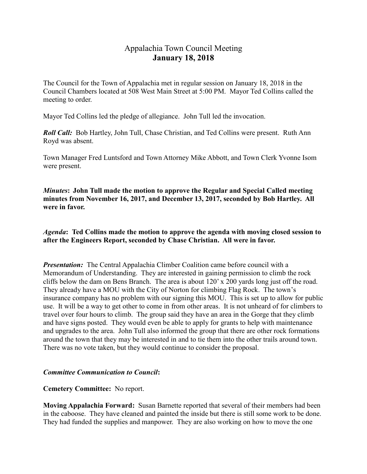# Appalachia Town Council Meeting **January 18, 2018**

The Council for the Town of Appalachia met in regular session on January 18, 2018 in the Council Chambers located at 508 West Main Street at 5:00 PM. Mayor Ted Collins called the meeting to order.

Mayor Ted Collins led the pledge of allegiance. John Tull led the invocation.

*Roll Call:* Bob Hartley, John Tull, Chase Christian, and Ted Collins were present. Ruth Ann Royd was absent.

Town Manager Fred Luntsford and Town Attorney Mike Abbott, and Town Clerk Yvonne Isom were present.

*Minutes***: John Tull made the motion to approve the Regular and Special Called meeting minutes from November 16, 2017, and December 13, 2017, seconded by Bob Hartley. All were in favor.** 

*Agenda***: Ted Collins made the motion to approve the agenda with moving closed session to after the Engineers Report, seconded by Chase Christian. All were in favor.** 

*Presentation:* The Central Appalachia Climber Coalition came before council with a Memorandum of Understanding. They are interested in gaining permission to climb the rock cliffs below the dam on Bens Branch. The area is about 120' x 200 yards long just off the road. They already have a MOU with the City of Norton for climbing Flag Rock. The town's insurance company has no problem with our signing this MOU. This is set up to allow for public use. It will be a way to get other to come in from other areas. It is not unheard of for climbers to travel over four hours to climb. The group said they have an area in the Gorge that they climb and have signs posted. They would even be able to apply for grants to help with maintenance and upgrades to the area. John Tull also informed the group that there are other rock formations around the town that they may be interested in and to tie them into the other trails around town. There was no vote taken, but they would continue to consider the proposal.

# *Committee Communication to Council***:**

### **Cemetery Committee:** No report.

**Moving Appalachia Forward:** Susan Barnette reported that several of their members had been in the caboose. They have cleaned and painted the inside but there is still some work to be done. They had funded the supplies and manpower. They are also working on how to move the one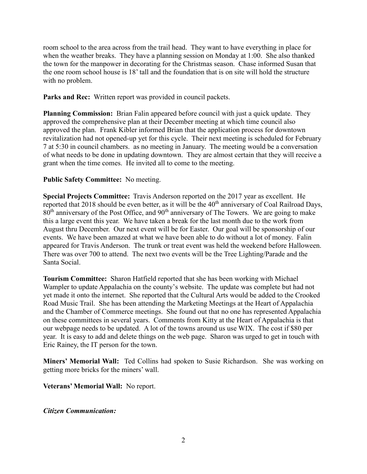room school to the area across from the trail head. They want to have everything in place for when the weather breaks. They have a planning session on Monday at 1:00. She also thanked the town for the manpower in decorating for the Christmas season. Chase informed Susan that the one room school house is 18' tall and the foundation that is on site will hold the structure with no problem.

**Parks and Rec:** Written report was provided in council packets.

**Planning Commission:** Brian Falin appeared before council with just a quick update. They approved the comprehensive plan at their December meeting at which time council also approved the plan. Frank Kibler informed Brian that the application process for downtown revitalization had not opened-up yet for this cycle. Their next meeting is scheduled for February 7 at 5:30 in council chambers. as no meeting in January. The meeting would be a conversation of what needs to be done in updating downtown. They are almost certain that they will receive a grant when the time comes. He invited all to come to the meeting.

# **Public Safety Committee:** No meeting.

**Special Projects Committee:** Travis Anderson reported on the 2017 year as excellent. He reported that 2018 should be even better, as it will be the 40<sup>th</sup> anniversary of Coal Railroad Days,  $80<sup>th</sup>$  anniversary of the Post Office, and  $90<sup>th</sup>$  anniversary of The Towers. We are going to make this a large event this year. We have taken a break for the last month due to the work from August thru December. Our next event will be for Easter. Our goal will be sponsorship of our events. We have been amazed at what we have been able to do without a lot of money. Falin appeared for Travis Anderson. The trunk or treat event was held the weekend before Halloween. There was over 700 to attend. The next two events will be the Tree Lighting/Parade and the Santa Social.

**Tourism Committee:** Sharon Hatfield reported that she has been working with Michael Wampler to update Appalachia on the county's website. The update was complete but had not yet made it onto the internet. She reported that the Cultural Arts would be added to the Crooked Road Music Trail. She has been attending the Marketing Meetings at the Heart of Appalachia and the Chamber of Commerce meetings. She found out that no one has represented Appalachia on these committees in several years. Comments from Kitty at the Heart of Appalachia is that our webpage needs to be updated. A lot of the towns around us use WIX. The cost if \$80 per year. It is easy to add and delete things on the web page. Sharon was urged to get in touch with Eric Rainey, the IT person for the town.

**Miners' Memorial Wall:** Ted Collins had spoken to Susie Richardson. She was working on getting more bricks for the miners' wall.

**Veterans' Memorial Wall:** No report.

*Citizen Communication:*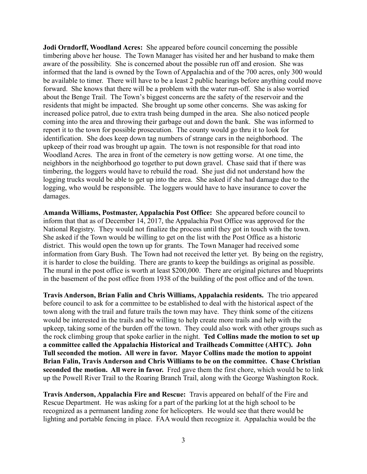**Jodi Orndorff, Woodland Acres:** She appeared before council concerning the possible timbering above her house. The Town Manager has visited her and her husband to make them aware of the possibility. She is concerned about the possible run off and erosion. She was informed that the land is owned by the Town of Appalachia and of the 700 acres, only 300 would be available to timer. There will have to be a least 2 public hearings before anything could move forward. She knows that there will be a problem with the water run-off. She is also worried about the Benge Trail. The Town's biggest concerns are the safety of the reservoir and the residents that might be impacted. She brought up some other concerns. She was asking for increased police patrol, due to extra trash being dumped in the area. She also noticed people coming into the area and throwing their garbage out and down the bank. She was informed to report it to the town for possible prosecution. The county would go thru it to look for identification. She does keep down tag numbers of strange cars in the neighborhood. The upkeep of their road was brought up again. The town is not responsible for that road into Woodland Acres. The area in front of the cemetery is now getting worse. At one time, the neighbors in the neighborhood go together to put down gravel. Chase said that if there was timbering, the loggers would have to rebuild the road. She just did not understand how the logging trucks would be able to get up into the area. She asked if she had damage due to the logging, who would be responsible. The loggers would have to have insurance to cover the damages.

**Amanda Williams, Postmaster, Appalachia Post Office:** She appeared before council to inform that that as of December 14, 2017, the Appalachia Post Office was approved for the National Registry. They would not finalize the process until they got in touch with the town. She asked if the Town would be willing to get on the list with the Post Office as a historic district. This would open the town up for grants. The Town Manager had received some information from Gary Bush. The Town had not received the letter yet. By being on the registry, it is harder to close the building. There are grants to keep the buildings as original as possible. The mural in the post office is worth at least \$200,000. There are original pictures and blueprints in the basement of the post office from 1938 of the building of the post office and of the town.

**Travis Anderson, Brian Falin and Chris Williams, Appalachia residents.** The trio appeared before council to ask for a committee to be established to deal with the historical aspect of the town along with the trail and future trails the town may have. They think some of the citizens would be interested in the trails and be willing to help create more trails and help with the upkeep, taking some of the burden off the town. They could also work with other groups such as the rock climbing group that spoke earlier in the night. **Ted Collins made the motion to set up a committee called the Appalachia Historical and Trailheads Committee (AHTC). John Tull seconded the motion. All were in favor. Mayor Collins made the motion to appoint Brian Falin, Travis Anderson and Chris Williams to be on the committee. Chase Christian seconded the motion. All were in favor.** Fred gave them the first chore, which would be to link up the Powell River Trail to the Roaring Branch Trail, along with the George Washington Rock.

**Travis Anderson, Appalachia Fire and Rescue:** Travis appeared on behalf of the Fire and Rescue Department. He was asking for a part of the parking lot at the high school to be recognized as a permanent landing zone for helicopters. He would see that there would be lighting and portable fencing in place. FAA would then recognize it. Appalachia would be the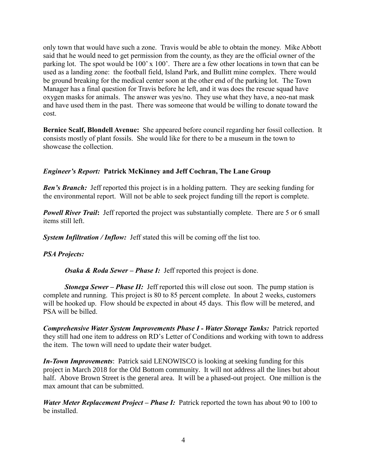only town that would have such a zone. Travis would be able to obtain the money. Mike Abbott said that he would need to get permission from the county, as they are the official owner of the parking lot. The spot would be 100' x 100'. There are a few other locations in town that can be used as a landing zone: the football field, Island Park, and Bullitt mine complex. There would be ground breaking for the medical center soon at the other end of the parking lot. The Town Manager has a final question for Travis before he left, and it was does the rescue squad have oxygen masks for animals. The answer was yes/no. They use what they have, a neo-nat mask and have used them in the past. There was someone that would be willing to donate toward the cost.

**Bernice Scalf, Blondell Avenue:** She appeared before council regarding her fossil collection. It consists mostly of plant fossils. She would like for there to be a museum in the town to showcase the collection.

# *Engineer's Report:* **Patrick McKinney and Jeff Cochran, The Lane Group**

**Ben's Branch:** Jeff reported this project is in a holding pattern. They are seeking funding for the environmental report. Will not be able to seek project funding till the report is complete.

*Powell River Trail*: Jeff reported the project was substantially complete. There are 5 or 6 small items still left.

**System Infiltration / Inflow:** Jeff stated this will be coming off the list too.

# *PSA Projects:*

*Osaka & Roda Sewer – Phase I:* Jeff reported this project is done.

*Stonega Sewer – Phase II:* Jeff reported this will close out soon. The pump station is complete and running. This project is 80 to 85 percent complete. In about 2 weeks, customers will be hooked up. Flow should be expected in about 45 days. This flow will be metered, and PSA will be billed.

*Comprehensive Water System Improvements Phase I - Water Storage Tanks:* Patrick reported they still had one item to address on RD's Letter of Conditions and working with town to address the item. The town will need to update their water budget.

*In-Town Improvements*: Patrick said LENOWISCO is looking at seeking funding for this project in March 2018 for the Old Bottom community. It will not address all the lines but about half. Above Brown Street is the general area. It will be a phased-out project. One million is the max amount that can be submitted.

*Water Meter Replacement Project – Phase I:* Patrick reported the town has about 90 to 100 to be installed.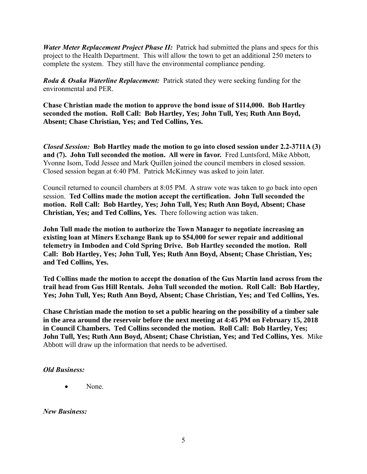*Water Meter Replacement Project Phase II:* Patrick had submitted the plans and specs for this project to the Health Department. This will allow the town to get an additional 250 meters to complete the system. They still have the environmental compliance pending.

*Roda & Osaka Waterline Replacement:* Patrick stated they were seeking funding for the environmental and PER.

**Chase Christian made the motion to approve the bond issue of \$114,000. Bob Hartley seconded the motion. Roll Call: Bob Hartley, Yes; John Tull, Yes; Ruth Ann Boyd, Absent; Chase Christian, Yes; and Ted Collins, Yes.** 

*Closed Session:* **Bob Hartley made the motion to go into closed session under 2.2-3711A (3) and (7). John Tull seconded the motion. All were in favor.** Fred Luntsford, Mike Abbott, Yvonne Isom, Todd Jessee and Mark Quillen joined the council members in closed session. Closed session began at 6:40 PM. Patrick McKinney was asked to join later.

Council returned to council chambers at 8:05 PM. A straw vote was taken to go back into open session. **Ted Collins made the motion accept the certification. John Tull seconded the motion. Roll Call: Bob Hartley, Yes; John Tull, Yes; Ruth Ann Boyd, Absent; Chase Christian, Yes; and Ted Collins, Yes.** There following action was taken.

**John Tull made the motion to authorize the Town Manager to negotiate increasing an existing loan at Miners Exchange Bank up to \$54,000 for sewer repair and additional telemetry in Imboden and Cold Spring Drive. Bob Hartley seconded the motion. Roll Call: Bob Hartley, Yes; John Tull, Yes; Ruth Ann Boyd, Absent; Chase Christian, Yes; and Ted Collins, Yes.** 

**Ted Collins made the motion to accept the donation of the Gus Martin land across from the trail head from Gus Hill Rentals. John Tull seconded the motion. Roll Call: Bob Hartley, Yes; John Tull, Yes; Ruth Ann Boyd, Absent; Chase Christian, Yes; and Ted Collins, Yes.**

**Chase Christian made the motion to set a public hearing on the possibility of a timber sale in the area around the reservoir before the next meeting at 4:45 PM on February 15, 2018 in Council Chambers. Ted Collins seconded the motion. Roll Call: Bob Hartley, Yes; John Tull, Yes; Ruth Ann Boyd, Absent; Chase Christian, Yes; and Ted Collins, Yes**. Mike Abbott will draw up the information that needs to be advertised.

### *Old Business:*

None.

*New Business:*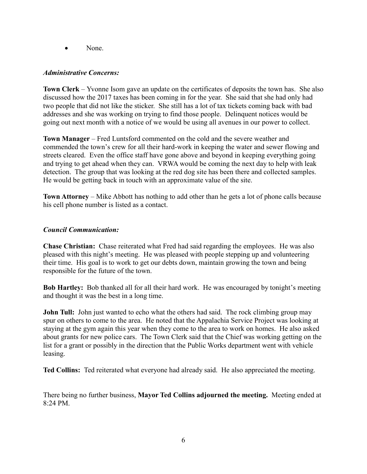• None.

### *Administrative Concerns:*

**Town Clerk** – Yvonne Isom gave an update on the certificates of deposits the town has. She also discussed how the 2017 taxes has been coming in for the year. She said that she had only had two people that did not like the sticker. She still has a lot of tax tickets coming back with bad addresses and she was working on trying to find those people. Delinquent notices would be going out next month with a notice of we would be using all avenues in our power to collect.

**Town Manager** – Fred Luntsford commented on the cold and the severe weather and commended the town's crew for all their hard-work in keeping the water and sewer flowing and streets cleared. Even the office staff have gone above and beyond in keeping everything going and trying to get ahead when they can. VRWA would be coming the next day to help with leak detection. The group that was looking at the red dog site has been there and collected samples. He would be getting back in touch with an approximate value of the site.

**Town Attorney** – Mike Abbott has nothing to add other than he gets a lot of phone calls because his cell phone number is listed as a contact.

### *Council Communication:*

**Chase Christian:** Chase reiterated what Fred had said regarding the employees. He was also pleased with this night's meeting. He was pleased with people stepping up and volunteering their time. His goal is to work to get our debts down, maintain growing the town and being responsible for the future of the town.

**Bob Hartley:** Bob thanked all for all their hard work. He was encouraged by tonight's meeting and thought it was the best in a long time.

**John Tull:** John just wanted to echo what the others had said. The rock climbing group may spur on others to come to the area. He noted that the Appalachia Service Project was looking at staying at the gym again this year when they come to the area to work on homes. He also asked about grants for new police cars. The Town Clerk said that the Chief was working getting on the list for a grant or possibly in the direction that the Public Works department went with vehicle leasing.

**Ted Collins:** Ted reiterated what everyone had already said. He also appreciated the meeting.

There being no further business, **Mayor Ted Collins adjourned the meeting.** Meeting ended at  $8.24$  PM.